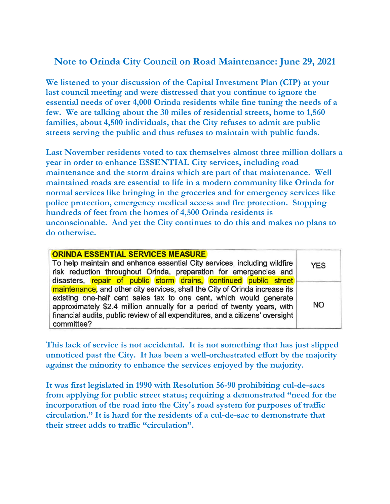## **Note to Orinda City Council on Road Maintenance: June 29, 2021**

**We listened to your discussion of the Capital Investment Plan (CIP) at your last council meeting and were distressed that you continue to ignore the essential needs of over 4,000 Orinda residents while fine tuning the needs of a few. We are talking about the 30 miles of residential streets, home to 1,560 families, about 4,500 individuals, that the City refuses to admit are public streets serving the public and thus refuses to maintain with public funds.** 

**Last November residents voted to tax themselves almost three million dollars a year in order to enhance ESSENTIAL City services, including road maintenance and the storm drains which are part of that maintenance. Well maintained roads are essential to life in a modern community like Orinda for normal services like bringing in the groceries and for emergency services like police protection, emergency medical access and fire protection. Stopping hundreds of feet from the homes of 4,500 Orinda residents is unconscionable. And yet the City continues to do this and makes no plans to do otherwise.** 

| <b>ORINDA ESSENTIAL SERVICES MEASURE</b>                                       |  |  |  |  |  |                                                                   |  |  |            |
|--------------------------------------------------------------------------------|--|--|--|--|--|-------------------------------------------------------------------|--|--|------------|
| To help maintain and enhance essential City services, including wildfire       |  |  |  |  |  |                                                                   |  |  | <b>YES</b> |
| risk reduction throughout Orinda, preparation for emergencies and              |  |  |  |  |  |                                                                   |  |  |            |
|                                                                                |  |  |  |  |  | disasters, repair of public storm drains, continued public street |  |  |            |
| maintenance, and other city services, shall the City of Orinda increase its    |  |  |  |  |  |                                                                   |  |  | <b>NO</b>  |
| existing one-half cent sales tax to one cent, which would generate             |  |  |  |  |  |                                                                   |  |  |            |
| approximately \$2.4 million annually for a period of twenty years, with        |  |  |  |  |  |                                                                   |  |  |            |
| financial audits, public review of all expenditures, and a citizens' oversight |  |  |  |  |  |                                                                   |  |  |            |
| committee?                                                                     |  |  |  |  |  |                                                                   |  |  |            |

**This lack of service is not accidental. It is not something that has just slipped unnoticed past the City. It has been a well-orchestrated effort by the majority against the minority to enhance the services enjoyed by the majority.** 

**It was first legislated in 1990 with Resolution 56-90 prohibiting cul-de-sacs from applying for public street status; requiring a demonstrated "need for the incorporation of the road into the City's road system for purposes of traffic circulation." It is hard for the residents of a cul-de-sac to demonstrate that their street adds to traffic "circulation".**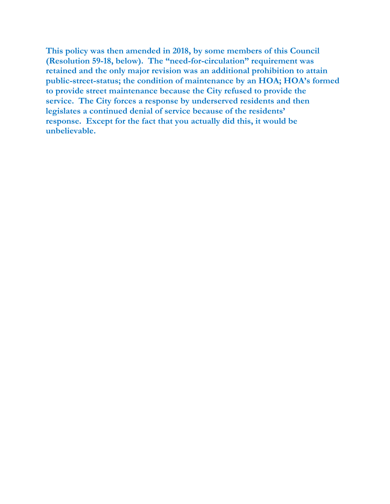**This policy was then amended in 2018, by some members of this Council (Resolution 59-18, below). The "need-for-circulation" requirement was retained and the only major revision was an additional prohibition to attain public-street-status; the condition of maintenance by an HOA; HOA's formed to provide street maintenance because the City refused to provide the service. The City forces a response by underserved residents and then legislates a continued denial of service because of the residents' response. Except for the fact that you actually did this, it would be unbelievable.**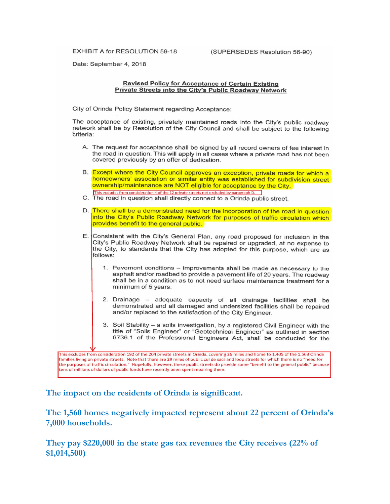**EXHIBIT A for RESOLUTION 59-18** 

(SUPERSEDES Resolution 56-90)

Date: September 4, 2018

## **Revised Policy for Acceptance of Certain Existing** Private Streets into the City's Public Roadway Network

City of Orinda Policy Statement regarding Acceptance:

The acceptance of existing, privately maintained roads into the City's public roadway network shall be by Resolution of the City Council and shall be subject to the following criteria:

- A. The request for acceptance shall be signed by all record owners of fee interest in the road in question. This will apply in all cases where a private road has not been covered previously by an offer of dedication.
	- B. Except where the City Council approves an exception, private roads for which a homeowners' association or similar entity was established for subdivision street ownership/maintenance are NOT eligible for acceptance by the City.
	- This excludes from consideration 4 of the 12 private streets not excluded by paragraph D.
	- C. The road in question shall directly connect to a Orinda public street.
	- D. There shall be a demonstrated need for the incorporation of the road in question into the City's Public Roadway Network for purposes of traffic circulation which provides benefit to the general public.
	- E. Consistent with the City's General Plan, any road proposed for inclusion in the City's Public Roadway Network shall be repaired or upgraded, at no expense to the City, to standards that the City has adopted for this purpose, which are as follows:
		- 1. Pavement conditions improvements shall be made as necessary to the asphalt and/or roadbed to provide a pavement life of 20 years. The roadway shall be in a condition as to not need surface maintenance treatment for a minimum of 5 years.
		- 2. Drainage adequate capacity of all drainage facilities shall be demonstrated and all damaged and undersized facilities shall be repaired and/or replaced to the satisfaction of the City Engineer.
		- 3. Soil Stability a soils investigation, by a registered Civil Engineer with the title of "Soils Engineer" or "Geotechnical Engineer" as outlined in section 6736.1 of the Professional Engineers Act, shall be conducted for the

This excludes from consideration 192 of the 204 private streets in Orinda, covering 26 miles and home to 1,405 of the 1,563 Orinda families living on private streets. Note that there are 29 miles of public cul de sacs and loop streets for which there is no "need for the purposes of traffic circulation." Hopefully, however, these public streets do provide some "benefit to the general public" because tens of millions of dollars of public funds have recently been spent repairing them.

The impact on the residents of Orinda is significant.

The 1,560 homes negatively impacted represent about 22 percent of Orinda's 7,000 households.

They pay \$220,000 in the state gas tax revenues the City receives  $(22\% \text{ of }$  $$1,014,500$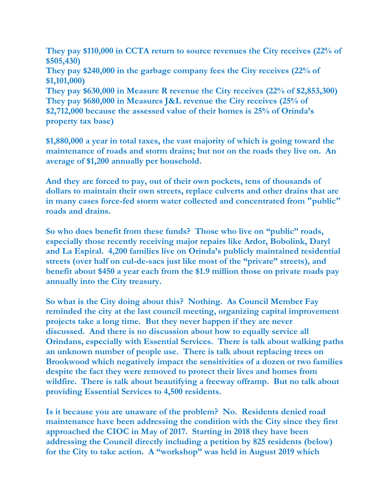**They pay \$110,000 in CCTA return to source revenues the City receives (22% of \$505,430) They pay \$240,000 in the garbage company fees the City receives (22% of \$1,101,000) They pay \$630,000 in Measure R revenue the City receives (22% of \$2,853,300) They pay \$680,000 in Measures J&L revenue the City receives (25% of \$2,712,000 because the assessed value of their homes is 25% of Orinda's property tax base)** 

**\$1,880,000 a year in total taxes, the vast majority of which is going toward the maintenance of roads and storm drains; but not on the roads they live on. An average of \$1,200 annually per household.** 

**And they are forced to pay, out of their own pockets, tens of thousands of dollars to maintain their own streets, replace culverts and other drains that are in many cases force-fed storm water collected and concentrated from "public" roads and drains.** 

**So who does benefit from these funds? Those who live on "public" roads, especially those recently receiving major repairs like Ardor, Bobolink, Daryl and La Espiral. 4,200 families live on Orinda's publicly maintained residential streets (over half on cul-de-sacs just like most of the "private" streets), and benefit about \$450 a year each from the \$1.9 million those on private roads pay annually into the City treasury.** 

**So what is the City doing about this? Nothing. As Council Member Fay reminded the city at the last council meeting, organizing capital improvement projects take a long time. But they never happen if they are never discussed. And there is no discussion about how to equally service all Orindans, especially with Essential Services. There is talk about walking paths an unknown number of people use. There is talk about replacing trees on Brookwood which negatively impact the sensitivities of a dozen or two families despite the fact they were removed to protect their lives and homes from wildfire. There is talk about beautifying a freeway offramp. But no talk about providing Essential Services to 4,500 residents.** 

**Is it because you are unaware of the problem? No. Residents denied road maintenance have been addressing the condition with the City since they first approached the CIOC in May of 2017. Starting in 2018 they have been addressing the Council directly including a petition by 825 residents (below) for the City to take action. A "workshop" was held in August 2019 which**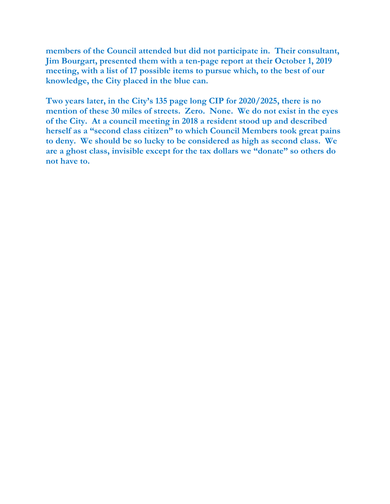**members of the Council attended but did not participate in. Their consultant, Jim Bourgart, presented them with a ten-page report at their October 1, 2019 meeting, with a list of 17 possible items to pursue which, to the best of our knowledge, the City placed in the blue can.** 

**Two years later, in the City's 135 page long CIP for 2020/2025, there is no mention of these 30 miles of streets. Zero. None. We do not exist in the eyes of the City. At a council meeting in 2018 a resident stood up and described herself as a "second class citizen" to which Council Members took great pains to deny. We should be so lucky to be considered as high as second class. We are a ghost class, invisible except for the tax dollars we "donate" so others do not have to.**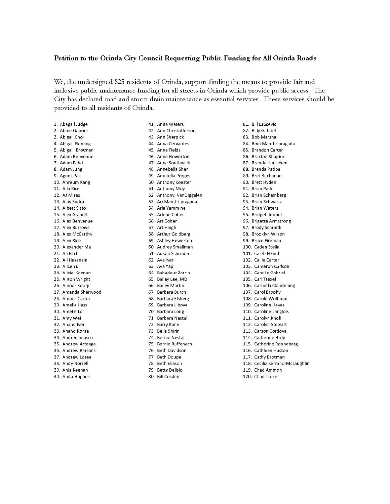## Petition to the Orinda City Council Requesting Public Funding for All Orinda Roads

We, the undersigned 825 residents of Orinda, support finding the means to provide fair and inclusive public maintenance funding for all streets in Orinda which provide public access. The City has declared road and storm drain maintenance as essential services. These services should be provided to all residents of Orinda.

1. Abagail Judge 2. Abbie Gabriel 3. Abigail Choi 4. Abigail Fleming 5. Abigail Brotman 6. Adam Benvenue 7. Adam Fahd 8. Adam Jung 9. Agnes Pak 10. Ahreum Kang 11. Aila Rice 12. AJ Mizes 13. Ajay Sudra 14. Albert Sisto 15. Alex Aranoff 16. Alex Benvenue 17. Alex Burrows 18. Alex McCarthy 19. Alex Rice 20. Alexander Ma 21. Ali Fitch 22. Ali Hasanain 23. Alice Yu 24. Alicia Keenan 25. Alison Wright 26. Alnoor Koorji 27. Amanda Sherwood 28. Amber Carter 29. Amelia Hass 30. Amelie Lo 31. Amy Wei 32. Anand Iver 33. Anand Rohra 34. Andrei Ionascu 35. Andrew Arteaga 36. Andrew Barrons 37. Andrew Losee 38. Andy Norrell 39. Ania Keenan

40. Anita Hughes

41. Anita Waters 42. Ann Christofferson 43. Ann Sherpick 44. Anna Cervantes 45. Anna Fields 46. Anne Howerton 47. Anne Southwick 48. Annebella Shen 49. Annitella Porges 50. Anthony Koester 51. Anthony Moy 52. Anthony VanDiggelen 53. Ari Manthripragada 54. Aria Yammine 55. Arlene Cohen 56. Art Cohen 57. Art Haigh 58. Arthur Goldberg 59. Ashley Howerton 60. Audrey Smallman 61. Austin Schroder 62. Ava Iver 63. Ava Yan 64. Bahadour Zarrin 65. Bailey Lee, MD 66. Bailey Martin 67. Barbara Burch 68. Barbara Elsberg 69. Barbara Libove 70. Barbara Long 71. Barbara Nestal 72. Barry Kane 73. Bella Shirin 74. Bernie Nestal 75. Bernie Ruffenach 76. Beth Davidson 77. Beth Doupe 78. Beth Eliason

79. Betty Delisio

80. Bill Cosden

81. Bill Lapcevic 82. Billy Gabriel 83. Bob Marshall 84. Bodi Manthripragada 85. Brandon Carter 86. Braxton Shapiro 87. Brenda Hanschen 88. Brenda Patipa 89. Bret Buchanan 90. Brett Hyden 91. Brian Park 92. Brian Scheinberg 93. Brian Schwartz 94. Brian Waters 95. Bridget Immel 96. Brigette Armstrong 97. Brody Schraith 98. Brooklyn Wilson 99. Bruce Fireman 100. Caden Stella 101. Caleb Elkind 102. Callie Carter 103. Cameron Carlson 104. Camille Gabriel 105. Carl Trexel 106. Carmela Clandening 107. Carol Brophy 108. Carole Wolfman 109. Caroline Haves 110. Caroline Langlois 111. Carolyn Knoll 112. Carolyn Stewart 113. Carson Cordova

- 114. Catherine Hrdy
- 115. Catherine Ronneberg
- 116. Cathleen Huston
- 117. Cathy Brotman
- 118. Cecilia Serrano-McLaughlin
- 119. Chad Ammon
- 120. Chad Trexel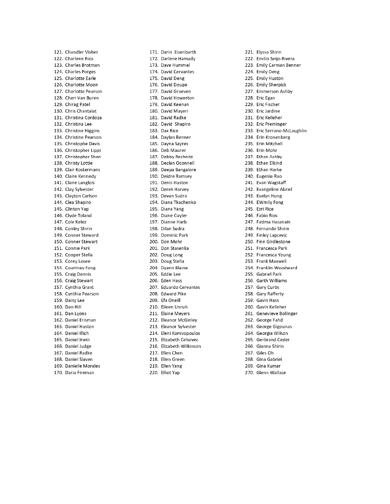121. Chandler Visher 122. Charlene Rios 123. Charles Brotman 124. Charles Porges 125. Charlotte Earle 126. Charlotte Moon 127. Charlotte Pearson 128. Cheri Van Buren 129. Chirag Patel 130. Chris Chantalat 131. Christina Cordoza 132. Christina Lee 133. Christine Higgins 134. Christine Pearson 135. Christophe Davis 136. Christopher Lippi 137. Christopher Shen 138. Christy Lottie 139. Clair Kostermans 140. Claire Kennedy 141. Claire Langlois 142. Clay Sylvester 143. Clayton Carlson 144. Clea Shapiro 145. Clinton Yap 146. Clyde Toland 147. Cole Kelez 148. Conley Shirin 149. Conner Steward 150. Conner Stewart 151. Connie Park 152. Cooper Stella 153. Corey Losee 154. Courtney Fong 155. Craig Dennis 156. Craig Stewart 157. Cynthia Grant 158. Cynthia Pearson 159. Daisy Lee 160. Dan Hill 161. Dan Lyons 162. Daniel Erisman 163. Daniel Huston 164. Daniel Illich 165. Daniel Irwin 166. Daniel Judge 167. Daniel Radke 168. Daniel Slaven 169. Danielle Morales 170. Daria Fireman

171. Darin Eisenbarth 172. Darlene Hamady 173. Dave Hummel 174. David Cervantes 175. David Deng 176. David Doupe 177. David Graeven 178. David Howerton 179. David Keenan 180. David Mayeri 181. David Radke 182. David Shapiro 183. Dax Rice 184. Daylan Benner 185. Dayna Sayres 186. Deb Maurer 187. Debby Rechnitz 188. Declan Oconnell 189. Deepa Bangalore 190. Deidre Ramsey 191. Denis Huston 192. Derek Harvey 193. Devan Sudra 194. Diana Tkachenko 195. Diana Yang 196. Diane Cuyler 197. Dianne Harb 198. Dilan Sudra 199. Dominic Park 200. Don Mohr 201. Don Stasenka 202. Doug Long 203. Doug Stella 204. Dvann Blaine 205. Eddie Lee 206. Eden Hass 207. Eduardo Cervantes 208. Edward Pike 209. Efa Oneill 210. Eileen Unruh 211. Elaine Meyers 212. Eleanor McGinley 213. Eleanor Sylvester 214. Eleni Komvopoulos 215. Elizabeth Cehovec 216. Elizabeth Wilkinson 217. Ellen Chen 218. Ellen Green 219. Ellen Yang

220. Elliot Yap

221. Elyssa Shirin 222. Emilio Seijo-Rivera 223. Emily Carman Benner 224. Emily Deng 225. Emily Huston 226. Emily Sherpick 227. Emmerson Ashby 228. Eric Egan 229. Eric Fischer 230. Eric Jardine 231. Eric Kelleher 232. Eric Preminger 233. Eric Serrano-McLaughlin 234. Erin Kronenberg 235. Erin Mitchell 236. Erin Mohr 237. Ethan Ashby 238. Ethan Elkind 239. Ethan Harke 240. Eugenia Rao 241. Evan Wagstaff 242. Evangeline Abriel 243. Evelyn Hung 244. EWmily Fong 245. Ezri Rice 246. Fabio Rios 247. Fatima Hasanain 248. Fernando Shirin 249. Finley Lapcevic 250. Finn Girdlestone 251. Francesca Park 252. Francesca Young 253. Frank Maxwell 254. Franklin Woodward 255. Gabriel Park 256. Garth Williams 257. Gary Curtis 258. Gary Rafferty 259. Gavin Hass 260. Gavin Kelleher 261. Genevieve Bollinger 262. George Fahd 263. George Gigounas 264. Georgia Wilson 265. Gerbrand Ceder 266. Gianna Shirin 267. Giles Oh 268. Gina Gabriel 269. Gina Kumar 270. Glenn Wallace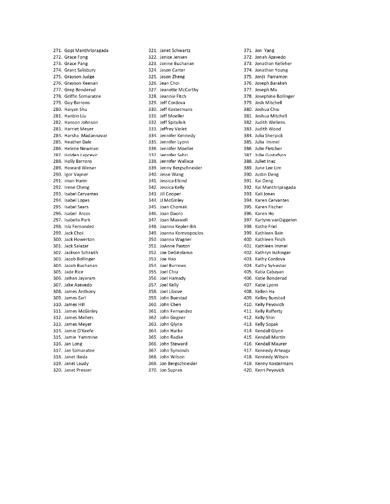271. Gopi Manthripragada 272. Grace Fong 273. Grace Pang 274. Grant Salisbury 275. Grayson Judge 276. Gravson Keenan 277. Greg Bonderud 278. Griffin Somaratne 279. Guy Barrons 280. Haiyan Shu 281. Hanbin Liu 282. Hanson Johnson 283. Harriet Meyer 284. Harsha Madannavar 285. Heather Dale 286. Helene Newman 287. Holden Lapcevic 288. Holly Barrons 289. Howard Weiser 290. Igor Vayner 291. iman Hariri 292. Irene Cheng 293. Isabel Cervantes 294. Isabel Lopes 295. Isabel Sears 296. Isabel Arcos 297. Isabella Park 298. Isla Fernandez 299. Jack Choi 300. Jack Howerton 301. Jack Salazar 302. Jackson Schraith 303. Jacob Bollinger 304. Jacob Buchanan 305. Jade Rice 306. Jaihan Jayaram 307. Jake Azevedo 308. James Anthony 309. James Earl 310. James Hill 311. James McGinley 312. James Mellers 313. James Meyer 314. Jamie O'Keefe 315. Jamie Yammine 316. Jan Long 317. Jan Somaratne 318. Janet Ikeda 319. Janet Laudy 320. Janet Presser

321. Janet Schwartz 322. Janice Jensen 323. Janine Buchanan 324 Jason Carter 325 Jason Zheng 326. Jean Choi 327. Jeanette McCarthy 328. Jeannie Fitch 329. Jeff Cordova 330. Jeff Kostermans 331. Jeff Moeller 332. Jeff Spitulnik 333. Jeffrey Violet 334. Jennifer Kennedy 335. Jennifer Lyons 336. Jennifer Moeller 337. Jennifer Sabri 338. Jennifer Wallace 339. Jenny Bergschneider 340. Jesse Wang 341. Jessica Elkind 342. Jessica Kelly 343. Jill Cooper 344. JJ McGinley 345. Joan Chomak 346. Joan Daoro 347. Joan Maxwell 348. Joanna Kepler-Bik 349. Joanna Komvopoulos 350. Joanna Wagner 351. JoAnne Paxton 352. Joe DeGirolamo 353. Joe Hao 354. Joel Burrows 355. Joel Chiu 356. Joel Hamady 357. Joel Kelly 358. Joel Libove 359. John Buestad 360. John Chen 361. John Fernandez 362. John Gegner 363. John Glynn 364. John Harke 365. John Radke 366. John Steward 367. John Symonds 368. John Wilson 369. Jon Bergschneider

370. Jon Supran

371. Jon Yang 372. Jonah Azevedo 373. Jonathan Kelleher 374. Jonathan Young 375. Jordi Parramon 376. Joseph Barakeh 377. Joseph Ma 378. Josephine Bollinger 379. Josh Mitchell 380. Joshua Chiu 381. Joshua Mitchell 382. Judith Wellens 383. Judith Wood 384. Julia Sherpick 385. Julia Immel 386. Julie Fletcher 387. Julie Gustafson 388. Juliet Inac 389. June Lee Lim 390. Justin Deng 391. Kai Deng 392. Kai Manthripragada 393. Kali Jones 394. Karen Cervantes 395. Karen Fischer 396. Karen Ho 397. Karlynn vanDiggelen 398. Kathe Friel 399. Kathleen Bain 400. Kathleen Finch 401. Kathleen Immel 402. Kathryn Ischinger 403. Kathy Cordova 404. Kathy Sylvester 405. Katia Cabayan 406. Katie Bonderud 407. Katie Lyons 408. Kellen Ha 409. Kelley Buestad 410. Kelly Peyovich 411. Kelly Rafferty 412. Kelly Shin 413. Kelly Sopak 414. Kendall Glynn 415. Kendall Martin 416. Kendall Maurer 417. Kennedy Arteaga 418. Kennedy Wilson 419. Kenny Kostermans 420. Kerri Peyovich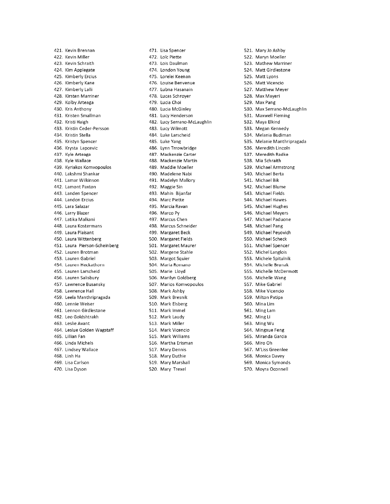421. Kevin Brennan 422 Kevin Miller 423. Kevin Schraith 424. Kim Applegate 425. Kimberly Ercius 426. Kimberly Kane 427. Kimberly Lalli 428. Kirsten Marriner 429. Kolby Arteaga 430. Kris Anthony 431. Kristen Smallman 432. Kristi Haigh 433. Kristin Ceder-Persson 434. Kristin Stella 435. Kristyn Spencer 436. Krysta Lapcevic 437. Kyle Arteaga 438. Kyle Wallace 439. Kyriakos Komvopoulos 440. Lakshmi Shankar 441. Lamar Wilkinson 442. Lamont Paxton 443. Landen Spencer 444. Landon Ercius 445. Lara Salazar 446. Larry Blazer 447. Latika Malkani 448. Laura Kostermans 449. Laura Plaisant 450. Laura Wittenberg 451. Laura Pierson-Scheinberg 452. Lauren Brotman 453. Lauren Gabriel 454. Lauren Heckathorn 455. Lauren Larscheid 456. Lauren Salisbury 457. Lawrence Busansky 458. Lawrence Hall 459. Leela Manthripragada 460. Lennie Weiser 461. Lennon Girdlestone 462. Leo Goldshtrakh 463. Leslie Avant 464. Leslue Golden Wagstaff 465. Lillian Fan 466. Linda Michels 467. Lindsey Wallace 468. Linh Ha 469. Lisa Carlson 470. Lisa Dyson

471. Lisa Spencer 472. Loïc Piette 473. Lois Daulman 474. London Young 475. Lorelei Keenan 476. Louise Benvenue 477. Lubna Hasanain 478. Lucas Schroyer 479. Lucia Choi 480. Lucia McGinley 481. Lucy Henderson 482. Lucy Serrano-McLaughlin 483. Lucy Wilmott 484. Luke Larscheid 485. Luke Yang 486. Lynn Trrowbridge 487. Mackenzie Carter 488. Mackenzie Martin 489. Maddie Moeller 490. Madelene Nabi 491. Madelyn Mallory 492. Maggie Sin 493. Mahin Bijanfar 494. Marc Piette 495. Marcia Ravan 496. Marco Py 497. Marcus Chen 498. Marcus Schneider 499. Margaret Beck 500. Margaret Fields 501. Margaret Maurer 502. Margene Stahle 503. Margot Squier 504. Maria Romano 505. Marie Lloyd 506. Marilyn Goldberg 507. Marios Komvopoulos 508. Mark Ashby 509. Mark Bresnik 510. Mark Elsberg 511. Mark Immel 512. Mark Laudy 513. Mark Miller 514. Mark Vicencio 515. Mark Williams 516. Martha Erisman 517. Mary Dennis 518. Mary Duthie

519. Mary Marshall

520. Mary Trexel

521. Mary Jo Ashby 522. Maryn Moeller 523. Mathew Marriner 524 Matt Girdlestone 525. Matt Lyons 526. Matt Vicencio 527. Matthew Meyer 528. Max Mayeri 529. Max Pang 530. Max Serrano-McLaughlin 531. Maxwell Fleming 532. Maya Elkind 533. Megan Kennedy 534. Melania Budiman 535. Melanie Manthripragada 536. Meredith Lincoln 537. Meredith Radke 538. Mia Schraith 539. Michael Armstrong 540. Michael Berta 541. Michael Bik 542. Michael Blume 543. Michael Fields 544. Michael Hawes 545. Michael Hughes 546. Michael Meyers 547. Michael Paduone 548. Michael Pang 549. Michael Peyovich 550. Michael Scheck 551. Michael Spencer 552. Michel Langlois 553. Michele Spitulnik 554. Michelle Brunak 555. Michelle McDermott 556. Michelle Wang 557. Mike Gabriel 558. Mike Vicencio 559. Milton Patipa 560. Mina Lim 561. Ming Lam 562. Ming Li 563. Ming Wu 564. Mingxue Feng 565. Miranda Garcia 566. Miro Oh 567. M'Liss Greenlee 568. Monica Davey 569. Monica Symonds 570. Moyra Oconnell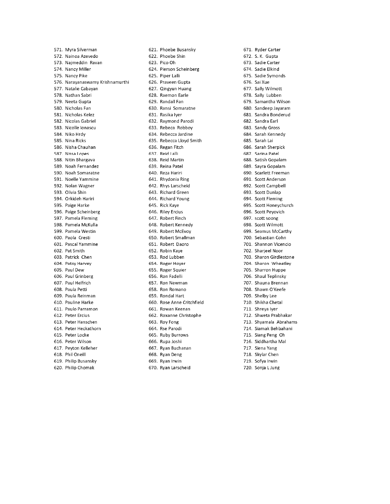571. Myra Silverman 572. Nainoa Azevedo 573. Najmeddin Ravan 574. Nancy Miller 575. Nancy Pike 576. Narayanaswamy Krishnamurthi 577. Natalie Cabayan 578. Nathan Sabri 579. Neeta Gupta 580. Nicholas Fan 581. Nicholas Kelez 582. Nicolas Gabriel 583. Nicolle Ionascu 584. Niko Hrdy 585. Nina Ricks 586. Nisha Chauhan 587. Nissa Lopes 588. Nitin Bhargava 589. Noah Fernandez 590. Noah Somaratne 591. Noelle Yammine 592. Nolan Wagner 593. Olivia Shin 594. Orkideh Hariri 595. Paige Harke 596. Paige Scheinberg 597. Pamela Fleming 598. Pamela McKulla 599. Pamela Westin 600. Paola Cresti 601. Pascal Yammine 602. Pat Smith 603. Patrick Chen 604. Patsy Harvey 605. Paul Dew 606. Paul Grinberg 607. Paul Helfrich 608. Paula Petti 609. Paula Reinman 610. Pauline Harke 611. Paulo Parramon 612. Peter Ercius 613. Peter Hanschen 614. Peter Heckathorn 615. Peter Locke 616. Peter Wilson 617. Peyton Kelleher 618. Phil Oneill 619. Philip Busansky 620. Philip Chomak

621. Phoebe Busansky 622. Phoebe Shin 623. Pico Oh 624. Pierson Scheinberg 625. Piper Lalli 626. Praveen Gupta 627. Qingyun Huang 628. Raemon Earle 629. Randall Fan 630. Ransi Somaratne 631. Rasika Iyer 632. Raymond Parodi 633. Rebeca Robboy 634. Rebecca Jardine 635. Rebecca Lloyd Smith 636. Regan Fitch 637. Reid Lalli 638. Reid Martin 639. Reina Patel 640. Reza Hariri 641. Rhydonia Ring 642. Rhys Larscheid 643. Richard Green 644. Richard Young 645. Rick Kaye 646. Riley Ercius 647. Robert Finch 648. Robert Kennedy 649. Robert McEvoy 650. Robert Smallman 651. Robert Daoro 652. Robin Kaye 653. Rod Lubben 654. Roger Hoyer 655. Roger Squier 656. Ron Fadelli 657. Ron Newman 658. Ron Romano 659. Rondal Hart 660. Rose Anne Critchfield 661. Rowan Keenan 662. Roxanne Christophe 663. Roy Fong 664. Rse Parodi 665. Ruby Burrows 666. Rupa Joshi 667. Ryan Buchanan 668. Ryan Deng 669. Ryan Irwin

670. Ryan Larscheid

671. Ryder Carter 672. S. K. Gupta 673. Sadie Carter 674. Sadie Elkind 675. Sadie Symonds 676. Sai Xue 677. Sally Wilmott 678. Sally Lubben 679. Samantha Wilson 680. Sandeep Jayaram 681. Sandra Bonderud 682. Sandra Earl 683. Sandy Gross 684. Sarah Kennedy 685. Sarah Lai 686 Sarah Shernick 687. Sarina Patel 688. Satish Gopalam 689. Sayra Gopalam 690. Scarlett Freeman 691. Scott Anderson 692. Scott Campbell 693. Scott Dunlap 694. Scott Fleming 695. Scott Honeychurch 696. Scott Peyovich 697. scott soong 698. Scott Wilmott 699. Seamus McCarthy 700. Sebastian Cohn 701. Shannon Vicencio 702. Sharjeel Noor 703. Sharon Girdlestone 704. Sharon Wheatley 705. Sharron Huppe 706. Shaul Teplinsky 707. Shauna Brennan 708. Shawn O'Keefe 709. Shelby Lee 710. Shikha Chetal 711. Shreya Iyer 712. Shweta Prabhakar 713. Shyamala Abrahams 714. Siamak Behbahani 715. Siang Peng Oh 716. Siddhartha Mal 717. Siena Yang 718. Skylar Chen 719. Sofya Irwin

720. Sonja L Jung